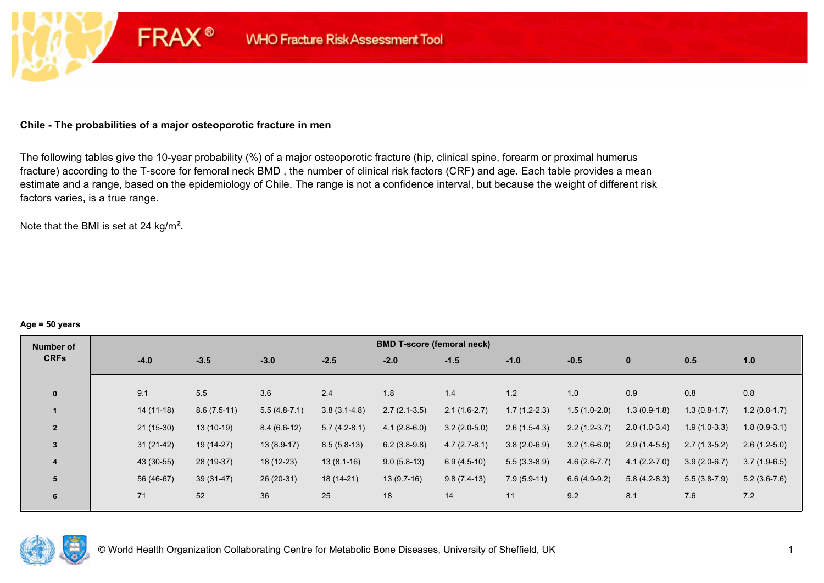## **Chile - The probabilities of a major osteoporotic fracture in men**

**FRAX®** 

The following tables give the 10-year probability (%) of a major osteoporotic fracture (hip, clinical spine, forearm or proximal humerus fracture) according to the T-score for femoral neck BMD , the number of clinical risk factors (CRF) and age. Each table provides a mean estimate and a range, based on the epidemiology of Chile. The range is not a confidence interval, but because the weight of different risk factors varies, is a true range.

Note that the BMI is set at 24 kg/m²**.** 

#### **Age = 50 years**

| Number of      |             |               |                |                  | <b>BMD T-score (femoral neck)</b> |                |                |                |                  |                |                |
|----------------|-------------|---------------|----------------|------------------|-----------------------------------|----------------|----------------|----------------|------------------|----------------|----------------|
| <b>CRFs</b>    | $-4.0$      | $-3.5$        | $-3.0$         | $-2.5$           | $-2.0$                            | $-1.5$         | $-1.0$         | $-0.5$         | $\bf{0}$         | 0.5            | 1.0            |
|                |             |               |                |                  |                                   |                |                |                |                  |                |                |
| $\mathbf{0}$   | 9.1         | 5.5           | 3.6            | 2.4              | 1.8                               | 1.4            | 1.2            | 1.0            | 0.9              | 0.8            | 0.8            |
|                | $14(11-18)$ | $8.6(7.5-11)$ | $5.5(4.8-7.1)$ | $3.8(3.1 - 4.8)$ | $2.7(2.1-3.5)$                    | $2.1(1.6-2.7)$ | $1.7(1.2-2.3)$ | $1.5(1.0-2.0)$ | $1.3(0.9-1.8)$   | $1.3(0.8-1.7)$ | $1.2(0.8-1.7)$ |
| $\overline{2}$ | $21(15-30)$ | $13(10-19)$   | $8.4(6.6-12)$  | $5.7(4.2-8.1)$   | $4.1(2.8-6.0)$                    | $3.2(2.0-5.0)$ | $2.6(1.5-4.3)$ | $2.2(1.2-3.7)$ | $2.0(1.0-3.4)$   | $1.9(1.0-3.3)$ | $1.8(0.9-3.1)$ |
| $\overline{3}$ | $31(21-42)$ | 19 (14-27)    | $13(8.9-17)$   | $8.5(5.8-13)$    | $6.2(3.8-9.8)$                    | $4.7(2.7-8.1)$ | $3.8(2.0-6.9)$ | $3.2(1.6-6.0)$ | $2.9(1.4-5.5)$   | $2.7(1.3-5.2)$ | $2.6(1.2-5.0)$ |
| 4              | 43 (30-55)  | 28 (19-37)    | 18 (12-23)     | $13(8.1-16)$     | $9.0(5.8-13)$                     | $6.9(4.5-10)$  | $5.5(3.3-8.9)$ | $4.6(2.6-7.7)$ | $4.1(2.2 - 7.0)$ | $3.9(2.0-6.7)$ | $3.7(1.9-6.5)$ |
| 5              | 56 (46-67)  | $39(31-47)$   | 26 (20-31)     | 18 (14-21)       | $13(9.7-16)$                      | $9.8(7.4-13)$  | $7.9(5.9-11)$  | $6.6(4.9-9.2)$ | $5.8(4.2-8.3)$   | $5.5(3.8-7.9)$ | $5.2(3.6-7.6)$ |
| 6              | 71          | 52            | 36             | 25               | 18                                | 14             | 11             | 9.2            | 8.1              | 7.6            | 7.2            |

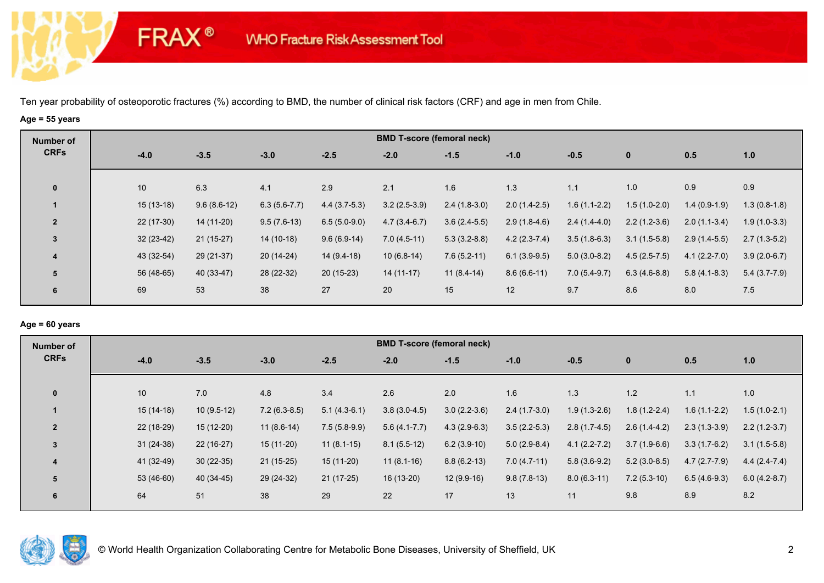**FRAX®** 

# **Age = 55 years**

| Number of               |             |               |                |                | <b>BMD T-score (femoral neck)</b> |                |                |                |                |                |                |
|-------------------------|-------------|---------------|----------------|----------------|-----------------------------------|----------------|----------------|----------------|----------------|----------------|----------------|
| <b>CRFs</b>             | $-4.0$      | $-3.5$        | $-3.0$         | $-2.5$         | $-2.0$                            | $-1.5$         | $-1.0$         | $-0.5$         | $\mathbf{0}$   | 0.5            | 1.0            |
| $\mathbf 0$             | 10          | 6.3           | 4.1            | 2.9            | 2.1                               | 1.6            | 1.3            | 1.1            | 1.0            | 0.9            | 0.9            |
|                         | $15(13-18)$ | $9.6(8.6-12)$ | $6.3(5.6-7.7)$ | $4.4(3.7-5.3)$ | $3.2(2.5-3.9)$                    | $2.4(1.8-3.0)$ | $2.0(1.4-2.5)$ | $1.6(1.1-2.2)$ | $1.5(1.0-2.0)$ | $1.4(0.9-1.9)$ | $1.3(0.8-1.8)$ |
| $\overline{2}$          | $22(17-30)$ | 14 (11-20)    | $9.5(7.6-13)$  | $6.5(5.0-9.0)$ | $4.7(3.4-6.7)$                    | $3.6(2.4-5.5)$ | $2.9(1.8-4.6)$ | $2.4(1.4-4.0)$ | $2.2(1.2-3.6)$ | $2.0(1.1-3.4)$ | $1.9(1.0-3.3)$ |
| $\mathbf{3}$            | $32(23-42)$ | $21(15-27)$   | 14 (10-18)     | $9.6(6.9-14)$  | $7.0(4.5-11)$                     | $5.3(3.2-8.8)$ | $4.2(2.3-7.4)$ | $3.5(1.8-6.3)$ | $3.1(1.5-5.8)$ | $2.9(1.4-5.5)$ | $2.7(1.3-5.2)$ |
| $\overline{\mathbf{4}}$ | 43 (32-54)  | 29 (21-37)    | $20(14-24)$    | $14(9.4-18)$   | $10(6.8-14)$                      | $7.6(5.2-11)$  | $6.1(3.9-9.5)$ | $5.0(3.0-8.2)$ | $4.5(2.5-7.5)$ | $4.1(2.2-7.0)$ | $3.9(2.0-6.7)$ |
| 5                       | 56 (48-65)  | 40 (33-47)    | 28 (22-32)     | $20(15-23)$    | $14(11-17)$                       | $11(8.4-14)$   | $8.6(6.6-11)$  | $7.0(5.4-9.7)$ | $6.3(4.6-8.8)$ | $5.8(4.1-8.3)$ | $5.4(3.7-7.9)$ |
| 6                       | 69          | 53            | 38             | 27             | 20                                | 15             | 12             | 9.7            | 8.6            | 8.0            | 7.5            |

### **Age = 60 years**

| <b>Number of</b> |             |              |                |                | <b>BMD T-score (femoral neck)</b> |                |                |                  |                |                |                |
|------------------|-------------|--------------|----------------|----------------|-----------------------------------|----------------|----------------|------------------|----------------|----------------|----------------|
| <b>CRFs</b>      | $-4.0$      | $-3.5$       | $-3.0$         | $-2.5$         | $-2.0$                            | $-1.5$         | $-1.0$         | $-0.5$           | $\mathbf{0}$   | 0.5            | 1.0            |
| $\mathbf{0}$     | 10          | 7.0          | 4.8            | 3.4            | 2.6                               | 2.0            | 1.6            | 1.3              | 1.2            | 1.1            | 1.0            |
|                  | $15(14-18)$ | $10(9.5-12)$ | $7.2(6.3-8.5)$ | $5.1(4.3-6.1)$ | $3.8(3.0-4.5)$                    | $3.0(2.2-3.6)$ | $2.4(1.7-3.0)$ | $1.9(1.3-2.6)$   | $1.8(1.2-2.4)$ | $1.6(1.1-2.2)$ | $1.5(1.0-2.1)$ |
| $\overline{2}$   | 22 (18-29)  | $15(12-20)$  | $11(8.6-14)$   | $7.5(5.8-9.9)$ | $5.6(4.1 - 7.7)$                  | $4.3(2.9-6.3)$ | $3.5(2.2-5.3)$ | $2.8(1.7-4.5)$   | $2.6(1.4-4.2)$ | $2.3(1.3-3.9)$ | $2.2(1.2-3.7)$ |
| 3                | $31(24-38)$ | $22(16-27)$  | $15(11-20)$    | $11(8.1-15)$   | $8.1(5.5-12)$                     | $6.2(3.9-10)$  | $5.0(2.9-8.4)$ | $4.1(2.2 - 7.2)$ | $3.7(1.9-6.6)$ | $3.3(1.7-6.2)$ | $3.1(1.5-5.8)$ |
| 4                | 41 (32-49)  | $30(22-35)$  | $21(15-25)$    | $15(11-20)$    | $11(8.1-16)$                      | $8.8(6.2-13)$  | $7.0(4.7-11)$  | $5.8(3.6-9.2)$   | $5.2(3.0-8.5)$ | $4.7(2.7-7.9)$ | $4.4(2.4-7.4)$ |
| 5                | $53(46-60)$ | 40 (34-45)   | 29 (24-32)     | $21(17-25)$    | 16 (13-20)                        | $12(9.9-16)$   | $9.8(7.8-13)$  | $8.0(6.3-11)$    | $7.2(5.3-10)$  | $6.5(4.6-9.3)$ | $6.0(4.2-8.7)$ |
| 6                | 64          | 51           | 38             | 29             | 22                                | 17             | 13             | 11               | 9.8            | 8.9            | 8.2            |

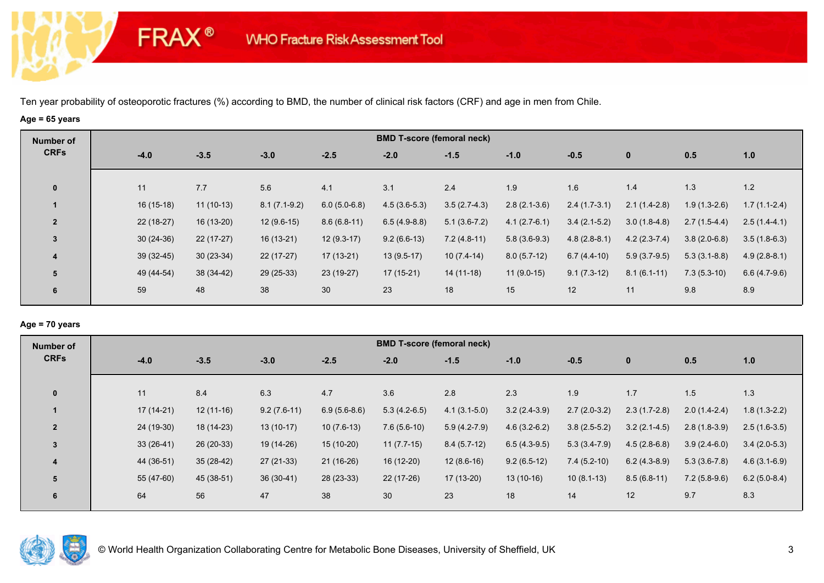# **Age = 65 years**

**FRAX®** 

| Number of               |             |             |                |                 |                | <b>BMD T-score (femoral neck)</b> |                |                |                |                |                |
|-------------------------|-------------|-------------|----------------|-----------------|----------------|-----------------------------------|----------------|----------------|----------------|----------------|----------------|
| <b>CRFs</b>             | $-4.0$      | $-3.5$      | $-3.0$         | $-2.5$          | $-2.0$         | $-1.5$                            | $-1.0$         | $-0.5$         | $\mathbf 0$    | 0.5            | 1.0            |
| $\mathbf 0$             | 11          | 7.7         | 5.6            | 4.1             | 3.1            | 2.4                               | 1.9            | 1.6            | 1.4            | 1.3            | 1.2            |
| $\blacksquare$          | $16(15-18)$ | $11(10-13)$ | $8.1(7.1-9.2)$ | $6.0(5.0-6.8)$  | $4.5(3.6-5.3)$ | $3.5(2.7-4.3)$                    | $2.8(2.1-3.6)$ | $2.4(1.7-3.1)$ | $2.1(1.4-2.8)$ | $1.9(1.3-2.6)$ | $1.7(1.1-2.4)$ |
| $\overline{2}$          | $22(18-27)$ | 16 (13-20)  | $12(9.6-15)$   | $8.6(6.8-11)$   | $6.5(4.9-8.8)$ | $5.1(3.6-7.2)$                    | $4.1(2.7-6.1)$ | $3.4(2.1-5.2)$ | $3.0(1.8-4.8)$ | $2.7(1.5-4.4)$ | $2.5(1.4-4.1)$ |
| 3                       | $30(24-36)$ | $22(17-27)$ | $16(13-21)$    | $12(9.3-17)$    | $9.2(6.6-13)$  | $7.2(4.8-11)$                     | $5.8(3.6-9.3)$ | $4.8(2.8-8.1)$ | $4.2(2.3-7.4)$ | $3.8(2.0-6.8)$ | $3.5(1.8-6.3)$ |
| $\overline{\mathbf{4}}$ | $39(32-45)$ | $30(23-34)$ | $22(17-27)$    | $17(13-21)$     | $13(9.5-17)$   | $10(7.4-14)$                      | $8.0(5.7-12)$  | $6.7(4.4-10)$  | $5.9(3.7-9.5)$ | $5.3(3.1-8.8)$ | $4.9(2.8-8.1)$ |
| 5                       | 49 (44-54)  | 38 (34-42)  | $29(25-33)$    | 23 (19-27)      | $17(15-21)$    | $14(11-18)$                       | $11(9.0-15)$   | $9.1(7.3-12)$  | $8.1(6.1-11)$  | $7.3(5.3-10)$  | $6.6(4.7-9.6)$ |
| 6                       | 59          | 48          | 38             | 30 <sup>°</sup> | 23             | 18                                | 15             | 12             | 11             | 9.8            | 8.9            |

### **Age = 70 years**

| Number of      |             |             |               |                | <b>BMD T-score (femoral neck)</b> |                  |                |                |                |                |                |
|----------------|-------------|-------------|---------------|----------------|-----------------------------------|------------------|----------------|----------------|----------------|----------------|----------------|
| <b>CRFs</b>    | $-4.0$      | $-3.5$      | $-3.0$        | $-2.5$         | $-2.0$                            | $-1.5$           | $-1.0$         | $-0.5$         | $\mathbf 0$    | 0.5            | 1.0            |
|                |             |             |               |                |                                   |                  |                |                |                |                |                |
| $\mathbf{0}$   | 11          | 8.4         | 6.3           | 4.7            | 3.6                               | 2.8              | 2.3            | 1.9            | 1.7            | 1.5            | 1.3            |
|                | $17(14-21)$ | $12(11-16)$ | $9.2(7.6-11)$ | $6.9(5.6-8.6)$ | $5.3(4.2-6.5)$                    | $4.1(3.1-5.0)$   | $3.2(2.4-3.9)$ | $2.7(2.0-3.2)$ | $2.3(1.7-2.8)$ | $2.0(1.4-2.4)$ | $1.8(1.3-2.2)$ |
| $\overline{2}$ | 24 (19-30)  | 18 (14-23)  | $13(10-17)$   | $10(7.6-13)$   | $7.6(5.6-10)$                     | $5.9(4.2 - 7.9)$ | $4.6(3.2-6.2)$ | $3.8(2.5-5.2)$ | $3.2(2.1-4.5)$ | $2.8(1.8-3.9)$ | $2.5(1.6-3.5)$ |
| $\overline{3}$ | $33(26-41)$ | $26(20-33)$ | 19 (14-26)    | $15(10-20)$    | $11(7.7-15)$                      | $8.4(5.7-12)$    | $6.5(4.3-9.5)$ | $5.3(3.4-7.9)$ | $4.5(2.8-6.8)$ | $3.9(2.4-6.0)$ | $3.4(2.0-5.3)$ |
| 4              | 44 (36-51)  | $35(28-42)$ | 27 (21-33)    | 21 (16-26)     | 16 (12-20)                        | $12(8.6-16)$     | $9.2(6.5-12)$  | $7.4(5.2-10)$  | $6.2(4.3-8.9)$ | $5.3(3.6-7.8)$ | $4.6(3.1-6.9)$ |
| 5              | 55 (47-60)  | 45 (38-51)  | $36(30-41)$   | 28 (23-33)     | 22 (17-26)                        | $17(13-20)$      | $13(10-16)$    | $10(8.1-13)$   | $8.5(6.8-11)$  | $7.2(5.8-9.6)$ | $6.2(5.0-8.4)$ |
| 6              | 64          | 56          | 47            | 38             | 30                                | 23               | 18             | 14             | 12             | 9.7            | 8.3            |
|                |             |             |               |                |                                   |                  |                |                |                |                |                |

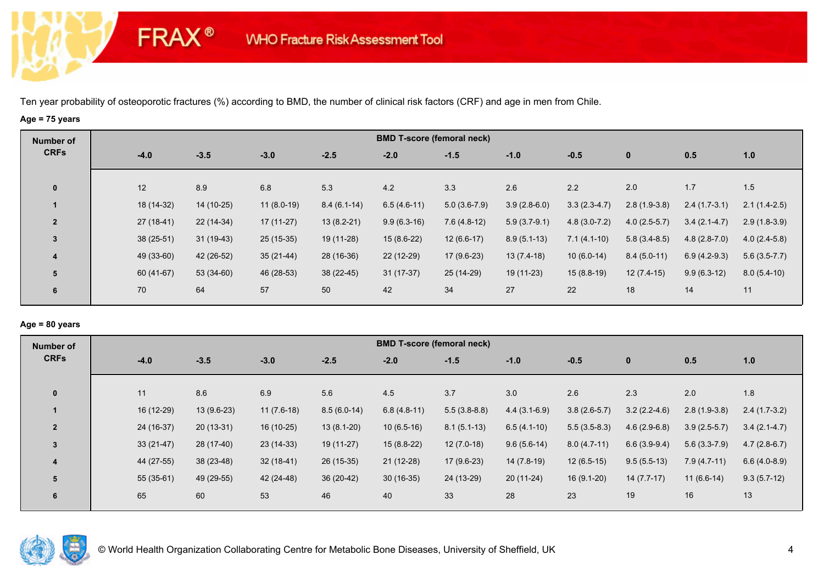**FRAX®** 

# **Age = 75 years**

| Number of      |             |             |              |               |               | <b>BMD T-score (femoral neck)</b> |                |                |                |                |                |
|----------------|-------------|-------------|--------------|---------------|---------------|-----------------------------------|----------------|----------------|----------------|----------------|----------------|
| <b>CRFs</b>    | $-4.0$      | $-3.5$      | $-3.0$       | $-2.5$        | $-2.0$        | $-1.5$                            | $-1.0$         | $-0.5$         | $\bf{0}$       | 0.5            | 1.0            |
| $\mathbf 0$    | 12          | 8.9         | 6.8          | 5.3           | 4.2           | 3.3                               | 2.6            | 2.2            | 2.0            | 1.7            | 1.5            |
|                | 18 (14-32)  | $14(10-25)$ | $11(8.0-19)$ | $8.4(6.1-14)$ | $6.5(4.6-11)$ | $5.0(3.6-7.9)$                    | $3.9(2.8-6.0)$ | $3.3(2.3-4.7)$ | $2.8(1.9-3.8)$ | $2.4(1.7-3.1)$ | $2.1(1.4-2.5)$ |
| $\overline{2}$ | $27(18-41)$ | $22(14-34)$ | $17(11-27)$  | $13(8.2-21)$  | $9.9(6.3-16)$ | $7.6(4.8-12)$                     | $5.9(3.7-9.1)$ | $4.8(3.0-7.2)$ | $4.0(2.5-5.7)$ | $3.4(2.1-4.7)$ | $2.9(1.8-3.9)$ |
| $\mathbf{3}$   | $38(25-51)$ | $31(19-43)$ | $25(15-35)$  | 19 (11-28)    | $15(8.6-22)$  | $12(6.6-17)$                      | $8.9(5.1-13)$  | $7.1(4.1-10)$  | $5.8(3.4-8.5)$ | $4.8(2.8-7.0)$ | $4.0(2.4-5.8)$ |
| 4              | 49 (33-60)  | 42 (26-52)  | $35(21-44)$  | 28 (16-36)    | 22 (12-29)    | $17(9.6-23)$                      | $13(7.4-18)$   | $10(6.0-14)$   | $8.4(5.0-11)$  | $6.9(4.2-9.3)$ | $5.6(3.5-7.7)$ |
| 5              | 60 (41-67)  | 53 (34-60)  | 46 (28-53)   | $38(22-45)$   | $31(17-37)$   | 25 (14-29)                        | $19(11-23)$    | $15(8.8-19)$   | $12(7.4-15)$   | $9.9(6.3-12)$  | $8.0(5.4-10)$  |
| 6              | 70          | 64          | 57           | 50            | 42            | 34                                | 27             | 22             | 18             | 14             | 11             |

## **Age = 80 years**

| Number of      |             |              |              |               | <b>BMD T-score (femoral neck)</b> |                |                |                |                |                |                |
|----------------|-------------|--------------|--------------|---------------|-----------------------------------|----------------|----------------|----------------|----------------|----------------|----------------|
| <b>CRFs</b>    | $-4.0$      | $-3.5$       | $-3.0$       | $-2.5$        | $-2.0$                            | $-1.5$         | $-1.0$         | $-0.5$         | $\mathbf{0}$   | 0.5            | 1.0            |
|                |             |              |              |               |                                   |                |                |                |                |                |                |
| $\mathbf{0}$   | 11          | 8.6          | 6.9          | 5.6           | 4.5                               | 3.7            | 3.0            | 2.6            | 2.3            | 2.0            | 1.8            |
|                | 16 (12-29)  | $13(9.6-23)$ | $11(7.6-18)$ | $8.5(6.0-14)$ | $6.8(4.8-11)$                     | $5.5(3.8-8.8)$ | $4.4(3.1-6.9)$ | $3.8(2.6-5.7)$ | $3.2(2.2-4.6)$ | $2.8(1.9-3.8)$ | $2.4(1.7-3.2)$ |
| $\overline{2}$ | 24 (16-37)  | $20(13-31)$  | 16 (10-25)   | $13(8.1-20)$  | $10(6.5-16)$                      | $8.1(5.1-13)$  | $6.5(4.1-10)$  | $5.5(3.5-8.3)$ | $4.6(2.9-6.8)$ | $3.9(2.5-5.7)$ | $3.4(2.1-4.7)$ |
| $\overline{3}$ | $33(21-47)$ | 28 (17-40)   | $23(14-33)$  | $19(11-27)$   | $15(8.8-22)$                      | $12(7.0-18)$   | $9.6(5.6-14)$  | $8.0(4.7-11)$  | $6.6(3.9-9.4)$ | $5.6(3.3-7.9)$ | $4.7(2.8-6.7)$ |
| 4              | 44 (27-55)  | $38(23-48)$  | $32(18-41)$  | $26(15-35)$   | $21(12-28)$                       | $17(9.6-23)$   | 14 (7.8-19)    | $12(6.5-15)$   | $9.5(5.5-13)$  | $7.9(4.7-11)$  | $6.6(4.0-8.9)$ |
| 5              | $55(35-61)$ | 49 (29-55)   | 42 (24-48)   | $36(20-42)$   | $30(16-35)$                       | 24 (13-29)     | $20(11-24)$    | $16(9.1-20)$   | $14(7.7-17)$   | $11(6.6-14)$   | $9.3(5.7-12)$  |
| 6              | 65          | 60           | 53           | 46            | 40                                | 33             | 28             | 23             | 19             | 16             | 13             |